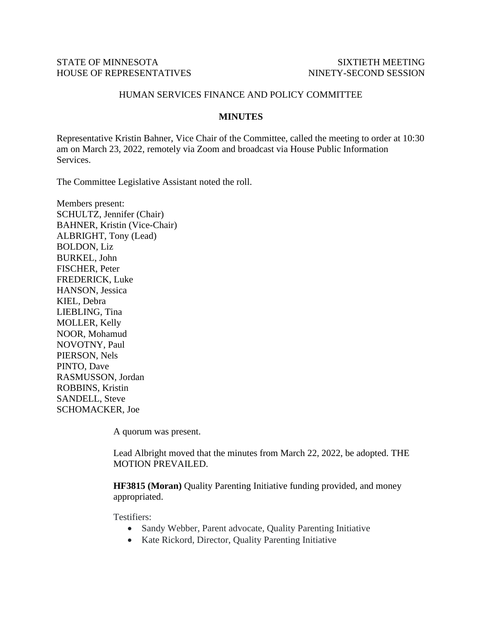## STATE OF MINNESOTA SIXTIETH MEETING HOUSE OF REPRESENTATIVES NINETY-SECOND SESSION

## HUMAN SERVICES FINANCE AND POLICY COMMITTEE

## **MINUTES**

Representative Kristin Bahner, Vice Chair of the Committee, called the meeting to order at 10:30 am on March 23, 2022, remotely via Zoom and broadcast via House Public Information Services.

The Committee Legislative Assistant noted the roll.

Members present: SCHULTZ, Jennifer (Chair) BAHNER, Kristin (Vice-Chair) ALBRIGHT, Tony (Lead) BOLDON, Liz BURKEL, John FISCHER, Peter FREDERICK, Luke HANSON, Jessica KIEL, Debra LIEBLING, Tina MOLLER, Kelly NOOR, Mohamud NOVOTNY, Paul PIERSON, Nels PINTO, Dave RASMUSSON, Jordan ROBBINS, Kristin SANDELL, Steve SCHOMACKER, Joe

A quorum was present.

Lead Albright moved that the minutes from March 22, 2022, be adopted. THE MOTION PREVAILED.

**HF3815 (Moran)** Quality Parenting Initiative funding provided, and money appropriated.

Testifiers:

- Sandy Webber, Parent advocate, Quality Parenting Initiative
- Kate Rickord, Director, Quality Parenting Initiative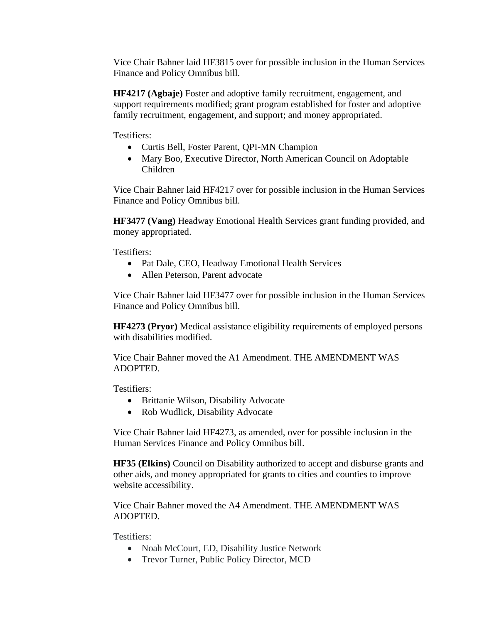Vice Chair Bahner laid HF3815 over for possible inclusion in the Human Services Finance and Policy Omnibus bill.

**HF4217 (Agbaje)** Foster and adoptive family recruitment, engagement, and support requirements modified; grant program established for foster and adoptive family recruitment, engagement, and support; and money appropriated.

Testifiers:

- Curtis Bell, Foster Parent, QPI-MN Champion
- Mary Boo, Executive Director, North American Council on Adoptable Children

Vice Chair Bahner laid HF4217 over for possible inclusion in the Human Services Finance and Policy Omnibus bill.

**HF3477 (Vang)** Headway Emotional Health Services grant funding provided, and money appropriated.

Testifiers:

- Pat Dale, CEO, Headway Emotional Health Services
- Allen Peterson, Parent advocate

Vice Chair Bahner laid HF3477 over for possible inclusion in the Human Services Finance and Policy Omnibus bill.

**HF4273 (Pryor)** Medical assistance eligibility requirements of employed persons with disabilities modified.

Vice Chair Bahner moved the A1 Amendment. THE AMENDMENT WAS ADOPTED.

Testifiers:

- Brittanie Wilson, Disability Advocate
- Rob Wudlick, Disability Advocate

Vice Chair Bahner laid HF4273, as amended, over for possible inclusion in the Human Services Finance and Policy Omnibus bill.

**HF35 (Elkins)** Council on Disability authorized to accept and disburse grants and other aids, and money appropriated for grants to cities and counties to improve website accessibility.

Vice Chair Bahner moved the A4 Amendment. THE AMENDMENT WAS ADOPTED.

Testifiers:

- Noah McCourt, ED, Disability Justice Network
- Trevor Turner, Public Policy Director, MCD